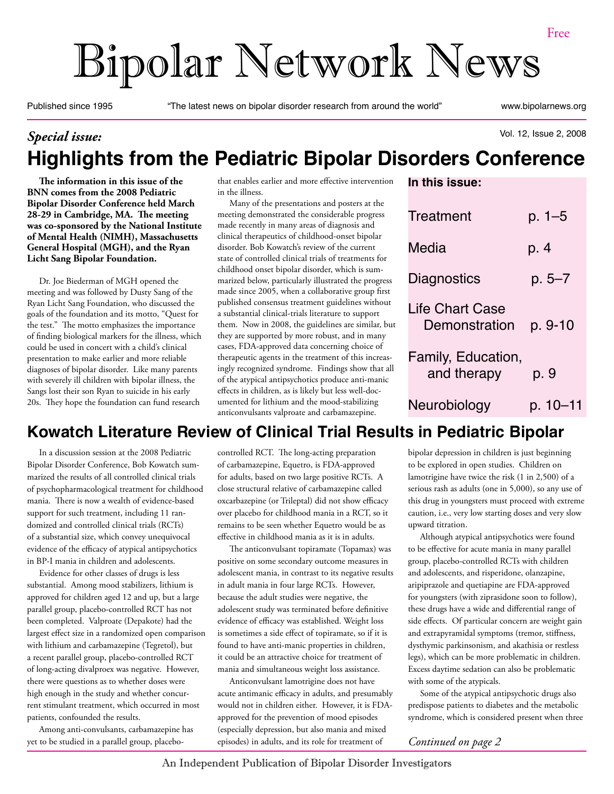# Bipolar Network News

Published since 1995 "The latest news on bipolar disorder research from around the world" www.bipolarnews.org

#### Vol. 12, Issue 2, 2008 *Special issue:*  **Highlights from the Pediatric Bipolar Disorders Conference**

**The information in this issue of the BNN comes from the 2008 Pediatric Bipolar Disorder Conference held March 28-29 in Cambridge, MA. The meeting was co-sponsored by the National Institute of Mental Health (NIMH), Massachusetts General Hospital (MGH), and the Ryan Licht Sang Bipolar Foundation.**

Dr. Joe Biederman of MGH opened the meeting and was followed by Dusty Sang of the Ryan Licht Sang Foundation, who discussed the goals of the foundation and its motto, "Quest for the test." The motto emphasizes the importance of finding biological markers for the illness, which could be used in concert with a child's clinical presentation to make earlier and more reliable diagnoses of bipolar disorder. Like many parents with severely ill children with bipolar illness, the Sangs lost their son Ryan to suicide in his early 20s. They hope the foundation can fund research

that enables earlier and more effective intervention in the illness.

Many of the presentations and posters at the meeting demonstrated the considerable progress made recently in many areas of diagnosis and clinical therapeutics of childhood-onset bipolar disorder. Bob Kowatch's review of the current state of controlled clinical trials of treatments for childhood onset bipolar disorder, which is summarized below, particularly illustrated the progress made since 2005, when a collaborative group first published consensus treatment guidelines without a substantial clinical-trials literature to support them. Now in 2008, the guidelines are similar, but they are supported by more robust, and in many cases, FDA-approved data concerning choice of therapeutic agents in the treatment of this increasingly recognized syndrome. Findings show that all of the atypical antipsychotics produce anti-manic effects in children, as is likely but less well-documented for lithium and the mood-stabilizing anticonvulsants valproate and carbamazepine.

| In this issue:                          |            |
|-----------------------------------------|------------|
| Treatment                               | $p. 1 - 5$ |
| Media                                   | p. 4       |
| Diagnostics                             | $p. 5 - 7$ |
| <b>Life Chart Case</b><br>Demonstration | p. 9-10    |
| Family, Education,<br>and therapy       | p. 9       |
| Neurobiology                            | p. 10–11   |

## **Kowatch Literature Review of Clinical Trial Results in Pediatric Bipolar**

In a discussion session at the 2008 Pediatric Bipolar Disorder Conference, Bob Kowatch summarized the results of all controlled clinical trials of psychopharmacological treatment for childhood mania. There is now a wealth of evidence-based support for such treatment, including 11 randomized and controlled clinical trials (RCTs) of a substantial size, which convey unequivocal evidence of the efficacy of atypical antipsychotics in BP-I mania in children and adolescents.

Evidence for other classes of drugs is less substantial. Among mood stabilizers, lithium is approved for children aged 12 and up, but a large parallel group, placebo-controlled RCT has not been completed. Valproate (Depakote) had the largest effect size in a randomized open comparison with lithium and carbamazepine (Tegretol), but a recent parallel group, placebo-controlled RCT of long-acting divalproex was negative. However, there were questions as to whether doses were high enough in the study and whether concurrent stimulant treatment, which occurred in most patients, confounded the results.

Among anti-convulsants, carbamazepine has yet to be studied in a parallel group, placebocontrolled RCT. The long-acting preparation of carbamazepine, Equetro, is FDA-approved for adults, based on two large positive RCTs. A close structural relative of carbamazepine called oxcarbazepine (or Trileptal) did not show efficacy over placebo for childhood mania in a RCT, so it remains to be seen whether Equetro would be as

positive on some secondary outcome measures in adolescent mania, in contrast to its negative results in adult mania in four large RCTs. However, because the adult studies were negative, the adolescent study was terminated before definitive evidence of efficacy was established. Weight loss is sometimes a side effect of topiramate, so if it is found to have anti-manic properties in children, it could be an attractive choice for treatment of mania and simultaneous weight loss assistance.

Anticonvulsant lamotrigine does not have acute antimanic efficacy in adults, and presumably would not in children either. However, it is FDAapproved for the prevention of mood episodes (especially depression, but also mania and mixed episodes) in adults, and its role for treatment of

bipolar depression in children is just beginning to be explored in open studies. Children on lamotrigine have twice the risk (1 in 2,500) of a serious rash as adults (one in 5,000), so any use of this drug in youngsters must proceed with extreme caution, i.e., very low starting doses and very slow upward titration.

Although atypical antipsychotics were found to be effective for acute mania in many parallel group, placebo-controlled RCTs with children and adolescents, and risperidone, olanzapine, aripiprazole and quetiapine are FDA-approved for youngsters (with ziprasidone soon to follow), these drugs have a wide and differential range of side effects. Of particular concern are weight gain and extrapyramidal symptoms (tremor, stiffness, dysthymic parkinsonism, and akathisia or restless legs), which can be more problematic in children. Excess daytime sedation can also be problematic with some of the atypicals.

Some of the atypical antipsychotic drugs also predispose patients to diabetes and the metabolic syndrome, which is considered present when three

*Continued on page 2*

effective in childhood mania as it is in adults. The anticonvulsant topiramate (Topamax) was

An Independent Publication of Bipolar Disorder Investigators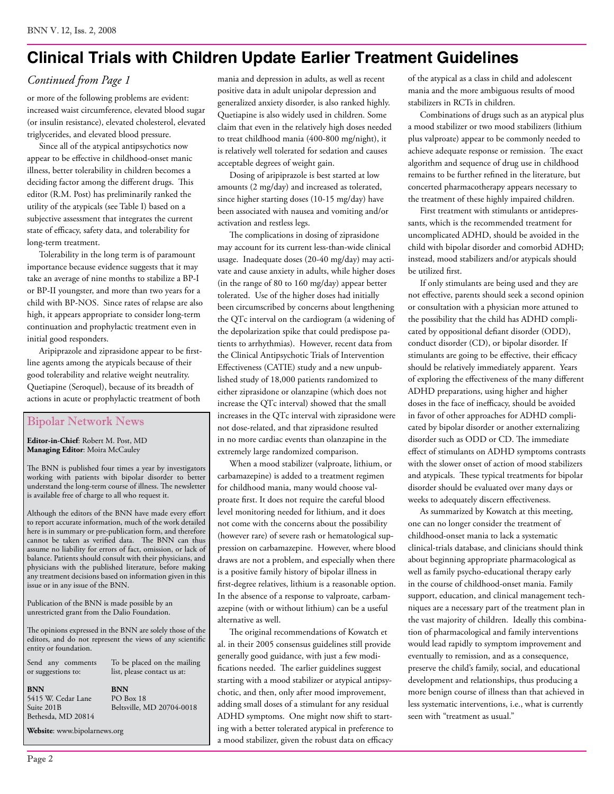## **Clinical Trials with Children Update Earlier Treatment Guidelines**

#### *Continued from Page 1*

or more of the following problems are evident: increased waist circumference, elevated blood sugar (or insulin resistance), elevated cholesterol, elevated triglycerides, and elevated blood pressure.

Since all of the atypical antipsychotics now appear to be effective in childhood-onset manic illness, better tolerability in children becomes a deciding factor among the different drugs. This editor (R.M. Post) has preliminarily ranked the utility of the atypicals (see Table I) based on a subjective assessment that integrates the current state of efficacy, safety data, and tolerability for long-term treatment.

Tolerability in the long term is of paramount importance because evidence suggests that it may take an average of nine months to stabilize a BP-I or BP-II youngster, and more than two years for a child with BP-NOS. Since rates of relapse are also high, it appears appropriate to consider long-term continuation and prophylactic treatment even in initial good responders.

Aripiprazole and ziprasidone appear to be firstline agents among the atypicals because of their good tolerability and relative weight neutrality. Quetiapine (Seroquel), because of its breadth of actions in acute or prophylactic treatment of both

#### Bipolar Network News

**Editor-in-Chief**: Robert M. Post, MD **Managing Editor**: Moira McCauley

The BNN is published four times a year by investigators working with patients with bipolar disorder to better understand the long-term course of illness. The newsletter is available free of charge to all who request it.

Although the editors of the BNN have made every effort to report accurate information, much of the work detailed here is in summary or pre-publication form, and therefore cannot be taken as verified data. The BNN can thus assume no liability for errors of fact, omission, or lack of balance. Patients should consult with their physicians, and physicians with the published literature, before making any treatment decisions based on information given in this issue or in any issue of the BNN.

Publication of the BNN is made possible by an unrestricted grant from the Dalio Foundation.

The opinions expressed in the BNN are solely those of the editors, and do not represent the views of any scientific entity or foundation.

Send any comments or suggestions to:

**BNN** 5415 W. Cedar Lane Suite 201B Bethesda, MD 20814

**BNN** PO Box 18 Beltsville, MD 20704-0018

To be placed on the mailing list, please contact us at:

**Website**: www.bipolarnews.org

mania and depression in adults, as well as recent positive data in adult unipolar depression and generalized anxiety disorder, is also ranked highly. Quetiapine is also widely used in children. Some claim that even in the relatively high doses needed to treat childhood mania (400-800 mg/night), it is relatively well tolerated for sedation and causes acceptable degrees of weight gain.

Dosing of aripiprazole is best started at low amounts (2 mg/day) and increased as tolerated, since higher starting doses (10-15 mg/day) have been associated with nausea and vomiting and/or activation and restless legs.

The complications in dosing of ziprasidone may account for its current less-than-wide clinical usage. Inadequate doses (20-40 mg/day) may activate and cause anxiety in adults, while higher doses (in the range of 80 to 160 mg/day) appear better tolerated. Use of the higher doses had initially been circumscribed by concerns about lengthening the QTc interval on the cardiogram (a widening of the depolarization spike that could predispose patients to arrhythmias). However, recent data from the Clinical Antipsychotic Trials of Intervention Effectiveness (CATIE) study and a new unpublished study of 18,000 patients randomized to either ziprasidone or olanzapine (which does not increase the QTc interval) showed that the small increases in the QTc interval with ziprasidone were not dose-related, and that ziprasidone resulted in no more cardiac events than olanzapine in the extremely large randomized comparison.

When a mood stabilizer (valproate, lithium, or carbamazepine) is added to a treatment regimen for childhood mania, many would choose valproate first. It does not require the careful blood level monitoring needed for lithium, and it does not come with the concerns about the possibility (however rare) of severe rash or hematological suppression on carbamazepine. However, where blood draws are not a problem, and especially when there is a positive family history of bipolar illness in first-degree relatives, lithium is a reasonable option. In the absence of a response to valproate, carbamazepine (with or without lithium) can be a useful alternative as well.

The original recommendations of Kowatch et al. in their 2005 consensus guidelines still provide generally good guidance, with just a few modifications needed. The earlier guidelines suggest starting with a mood stabilizer or atypical antipsychotic, and then, only after mood improvement, adding small doses of a stimulant for any residual ADHD symptoms. One might now shift to starting with a better tolerated atypical in preference to a mood stabilizer, given the robust data on efficacy of the atypical as a class in child and adolescent mania and the more ambiguous results of mood stabilizers in RCTs in children.

Combinations of drugs such as an atypical plus a mood stabilizer or two mood stabilizers (lithium plus valproate) appear to be commonly needed to achieve adequate response or remission. The exact algorithm and sequence of drug use in childhood remains to be further refined in the literature, but concerted pharmacotherapy appears necessary to the treatment of these highly impaired children.

First treatment with stimulants or antidepressants, which is the recommended treatment for uncomplicated ADHD, should be avoided in the child with bipolar disorder and comorbid ADHD; instead, mood stabilizers and/or atypicals should be utilized first.

If only stimulants are being used and they are not effective, parents should seek a second opinion or consultation with a physician more attuned to the possibility that the child has ADHD complicated by oppositional defiant disorder (ODD), conduct disorder (CD), or bipolar disorder. If stimulants are going to be effective, their efficacy should be relatively immediately apparent. Years of exploring the effectiveness of the many different ADHD preparations, using higher and higher doses in the face of inefficacy, should be avoided in favor of other approaches for ADHD complicated by bipolar disorder or another externalizing disorder such as ODD or CD. The immediate effect of stimulants on ADHD symptoms contrasts with the slower onset of action of mood stabilizers and atypicals. These typical treatments for bipolar disorder should be evaluated over many days or weeks to adequately discern effectiveness.

As summarized by Kowatch at this meeting, one can no longer consider the treatment of childhood-onset mania to lack a systematic clinical-trials database, and clinicians should think about beginning appropriate pharmacological as well as family psycho-educational therapy early in the course of childhood-onset mania. Family support, education, and clinical management techniques are a necessary part of the treatment plan in the vast majority of children. Ideally this combination of pharmacological and family interventions would lead rapidly to symptom improvement and eventually to remission, and as a consequence, preserve the child's family, social, and educational development and relationships, thus producing a more benign course of illness than that achieved in less systematic interventions, i.e., what is currently seen with "treatment as usual."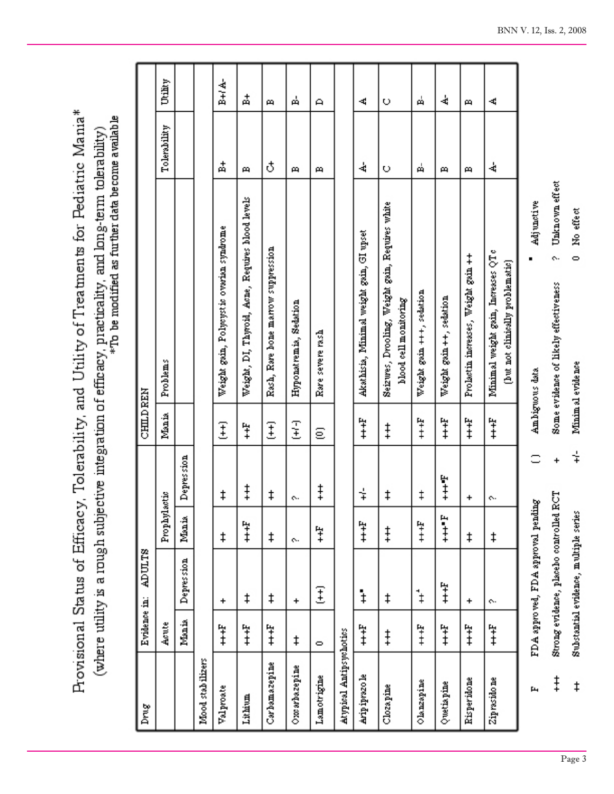Provisional Status of Efficacy, Tolerability, and Utility of Treatments for Pediatric Mania\* (where utility is a rough subjective integration of efficacy, practicality, and long-term tolerability)<br>\*To be modified as further data become available

| Drug                    | Evidence in:      | ADULTS                                  |               |                      | <b>CHILD REN</b> |                                                                          |              |         |
|-------------------------|-------------------|-----------------------------------------|---------------|----------------------|------------------|--------------------------------------------------------------------------|--------------|---------|
|                         | Acute             |                                         | Prophylactic  |                      | Mania            | Problems                                                                 | Tolerability | Utility |
|                         | Mania             | Depression                              | Mania         | Depression           |                  |                                                                          |              |         |
| Mood stabilizers        |                   |                                         |               |                      |                  |                                                                          |              |         |
| Valproate               | $\ddot{\ddagger}$ | $\ddot{}$                               | ŧ             | ŧ                    | Ŧ                | Weight gein, Polycystic overian syndrome                                 | 혂            | B+l A-  |
| Lithium                 | $\ddot{\ddagger}$ | ŧ                                       | $\ddagger$    | $\ddagger$           | ቹ                | Weight, DI, Thyroid, Acne, Requires blood levels                         | m            | 中       |
| Carbamazepine           | $\ddot{\ddagger}$ | ŧ                                       | ŧ             | ŧ                    | E                | Rash, Rare bone marrow suppression                                       | ₹            | 6       |
| Oxx arbazepine          | ŧ                 | $\ddot{}$                               | ç.            | e.                   | 国王               | Hyponatremia, Sedation                                                   | m            | Å       |
| Lamotrigine             | $\circ$           | E                                       | Ŧ,            | $\ddagger$           | ε                | Rare severe rash                                                         | д            | А       |
| Atypical Antipsychotics |                   |                                         |               |                      |                  |                                                                          |              |         |
| Ariptyzo le             | $\ddot{x}$        | $\ddagger$                              | $\ddot{x}$    | $\overline{\dagger}$ | $\ddagger$       | Akathisia, Minimal weight gain, GI upset                                 | 4            | 4       |
| Clozapine               | $\ddagger$        | ŧ                                       | $\ddagger$    | ŧ                    | $\ddagger$       | Seizures, Drooling, Weight gain, Requires white<br>blood cell monitoring | O            | O       |
| Olanzapine              | $\ddot{x}$        | $\ddagger$                              | $\ddot{x}$    | ŧ                    | $\ddagger$       | Weight gain +++, sedation                                                | ត់           | Å       |
| Quetiapine              | $\ddot{=}$        | $\ddot{x}$                              | $\frac{1}{4}$ | $\ddagger$           | $\ddagger$       | Weight gain ++, sedation                                                 | m            | 4       |
| Risperidone             | $\ddot{=}$        | +                                       | ŧ             | +                    | $\ddagger$       | Weight gain ++<br>Prolactin increases,                                   | 6            | m       |
| Ziprasido ne            | $\ddot{x}$        | ç.                                      | ŧ             | ç.                   | $\ddagger$       | Minimal weight gain, Increases QTo<br>(but not clinically problematic)   | 4            | 4       |
| щ                       |                   | FDA approved, FDA approval pending      |               |                      |                  | Adjunctive<br>Ambiguous data                                             |              |         |
| $\ddagger$              |                   | Strong evidence, placebo controlled RCT |               | $\ddot{}$            |                  | Unknown effect<br>ç.<br>Some evidence of likely effectiveness            |              |         |
| $\ddagger$              |                   | Substantial evidence, multiple series   |               | $\div$               |                  | No effect<br>$\circ$<br>Minimal evidence                                 |              |         |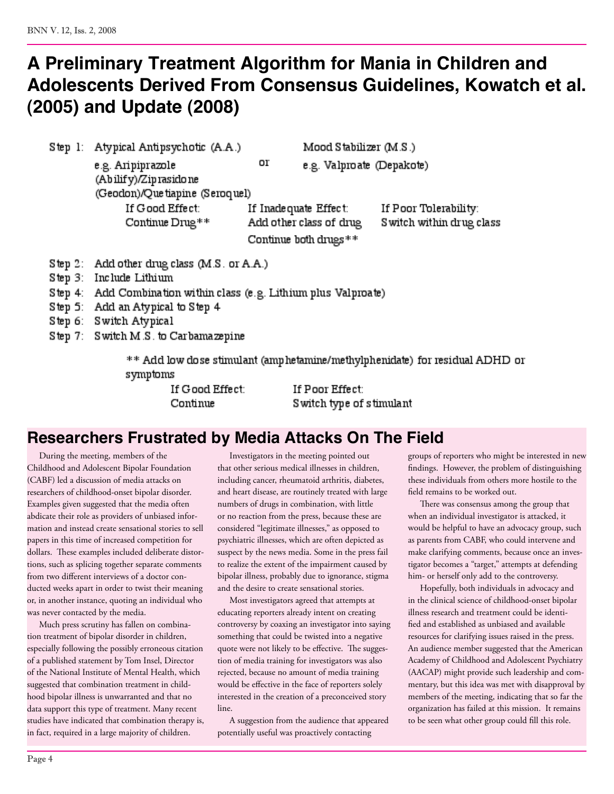## **A Preliminary Treatment Algorithm for Mania in Children and Adolescents Derived From Consensus Guidelines, Kowatch et al. (2005) and Update (2008)**

Step 1: Atypical Antipsychotic (A.A.)

Mood Stabilizer (M.S.)

e.g. Valproate (Depakote)

e.g. Aripiprazole (Abilify)/Ziprasido ne (Geodon)/Que tiapine (Seroquel) If Good Effect:

Continue Drug\*\*

If Inadequate Effect: Add other class of drug Continue both drugs\*\*

Οľ

If Poor Tolerability: S witch within drug class

- Step 2: Add other drug class (M.S. or A.A.)
- Step 3: Include Lithium
- Step 4: Add Combination within class (e.g. Lithium plus Valproate)
- Step 5: Add an Atypical to Step 4
- Step 6: Switch Atypical
- Step 7: Switch M.S. to Carbamazepine

\*\* Add low dose stimulant (amphetamine/methylphenidate) for residual ADHD or symptoms

> If Good Effect: Continue

If Poor Effect: Switch type of stimulant

## **Researchers Frustrated by Media Attacks On The Field**

During the meeting, members of the Childhood and Adolescent Bipolar Foundation (CABF) led a discussion of media attacks on researchers of childhood-onset bipolar disorder. Examples given suggested that the media often abdicate their role as providers of unbiased information and instead create sensational stories to sell papers in this time of increased competition for dollars. These examples included deliberate distortions, such as splicing together separate comments from two different interviews of a doctor conducted weeks apart in order to twist their meaning or, in another instance, quoting an individual who was never contacted by the media.

Much press scrutiny has fallen on combination treatment of bipolar disorder in children, especially following the possibly erroneous citation of a published statement by Tom Insel, Director of the National Institute of Mental Health, which suggested that combination treatment in childhood bipolar illness is unwarranted and that no data support this type of treatment. Many recent studies have indicated that combination therapy is, in fact, required in a large majority of children.

Investigators in the meeting pointed out that other serious medical illnesses in children, including cancer, rheumatoid arthritis, diabetes, and heart disease, are routinely treated with large numbers of drugs in combination, with little or no reaction from the press, because these are considered "legitimate illnesses," as opposed to psychiatric illnesses, which are often depicted as suspect by the news media. Some in the press fail to realize the extent of the impairment caused by bipolar illness, probably due to ignorance, stigma and the desire to create sensational stories.

Most investigators agreed that attempts at educating reporters already intent on creating controversy by coaxing an investigator into saying something that could be twisted into a negative quote were not likely to be effective. The suggestion of media training for investigators was also rejected, because no amount of media training would be effective in the face of reporters solely interested in the creation of a preconceived story line.

A suggestion from the audience that appeared potentially useful was proactively contacting

groups of reporters who might be interested in new findings. However, the problem of distinguishing these individuals from others more hostile to the field remains to be worked out.

There was consensus among the group that when an individual investigator is attacked, it would be helpful to have an advocacy group, such as parents from CABF, who could intervene and make clarifying comments, because once an investigator becomes a "target," attempts at defending him- or herself only add to the controversy.

Hopefully, both individuals in advocacy and in the clinical science of childhood-onset bipolar illness research and treatment could be identified and established as unbiased and available resources for clarifying issues raised in the press. An audience member suggested that the American Academy of Childhood and Adolescent Psychiatry (AACAP) might provide such leadership and commentary, but this idea was met with disapproval by members of the meeting, indicating that so far the organization has failed at this mission. It remains to be seen what other group could fill this role.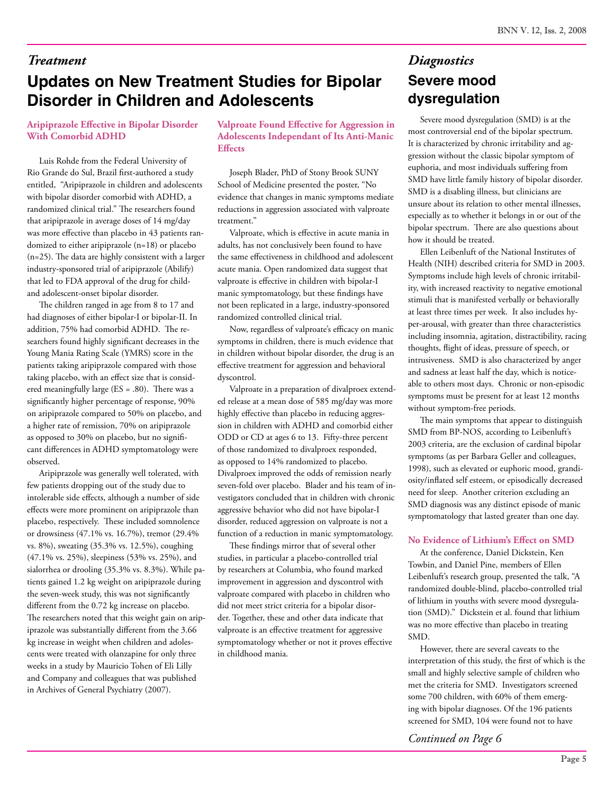## **Updates on New Treatment Studies for Bipolar Disorder in Children and Adolescents**

#### **Aripiprazole Effective in Bipolar Disorder With Comorbid ADHD**

Luis Rohde from the Federal University of Rio Grande do Sul, Brazil first-authored a study entitled, "Aripiprazole in children and adolescents with bipolar disorder comorbid with ADHD, a randomized clinical trial." The researchers found that aripiprazole in average doses of 14 mg/day was more effective than placebo in 43 patients randomized to either aripiprazole (n=18) or placebo (n=25). The data are highly consistent with a larger industry-sponsored trial of aripiprazole (Abilify) that led to FDA approval of the drug for childand adolescent-onset bipolar disorder.

The children ranged in age from 8 to 17 and had diagnoses of either bipolar-I or bipolar-II. In addition, 75% had comorbid ADHD. The researchers found highly significant decreases in the Young Mania Rating Scale (YMRS) score in the patients taking aripiprazole compared with those taking placebo, with an effect size that is considered meaningfully large (ES = .80). There was a significantly higher percentage of response, 90% on aripiprazole compared to 50% on placebo, and a higher rate of remission, 70% on aripiprazole as opposed to 30% on placebo, but no significant differences in ADHD symptomatology were observed.

Aripiprazole was generally well tolerated, with few patients dropping out of the study due to intolerable side effects, although a number of side effects were more prominent on aripiprazole than placebo, respectively. These included somnolence or drowsiness (47.1% vs. 16.7%), tremor (29.4% vs. 8%), sweating (35.3% vs. 12.5%), coughing (47.1% vs. 25%), sleepiness (53% vs. 25%), and sialorrhea or drooling (35.3% vs. 8.3%). While patients gained 1.2 kg weight on aripiprazole during the seven-week study, this was not significantly different from the 0.72 kg increase on placebo. The researchers noted that this weight gain on aripiprazole was substantially different from the 3.66 kg increase in weight when children and adolescents were treated with olanzapine for only three weeks in a study by Mauricio Tohen of Eli Lilly and Company and colleagues that was published in Archives of General Psychiatry (2007).

**Valproate Found Effective for Aggression in Adolescents Independant of Its Anti-Manic Effects** 

Joseph Blader, PhD of Stony Brook SUNY School of Medicine presented the poster, "No evidence that changes in manic symptoms mediate reductions in aggression associated with valproate treatment."

Valproate, which is effective in acute mania in adults, has not conclusively been found to have the same effectiveness in childhood and adolescent acute mania. Open randomized data suggest that valproate is effective in children with bipolar-I manic symptomatology, but these findings have not been replicated in a large, industry-sponsored randomized controlled clinical trial.

Now, regardless of valproate's efficacy on manic symptoms in children, there is much evidence that in children without bipolar disorder, the drug is an effective treatment for aggression and behavioral dyscontrol.

Valproate in a preparation of divalproex extended release at a mean dose of 585 mg/day was more highly effective than placebo in reducing aggression in children with ADHD and comorbid either ODD or CD at ages 6 to 13. Fifty-three percent of those randomized to divalproex responded, as opposed to 14% randomized to placebo. Divalproex improved the odds of remission nearly seven-fold over placebo. Blader and his team of investigators concluded that in children with chronic aggressive behavior who did not have bipolar-I disorder, reduced aggression on valproate is not a function of a reduction in manic symptomatology.

These findings mirror that of several other studies, in particular a placebo-controlled trial by researchers at Columbia, who found marked improvement in aggression and dyscontrol with valproate compared with placebo in children who did not meet strict criteria for a bipolar disorder. Together, these and other data indicate that valproate is an effective treatment for aggressive symptomatology whether or not it proves effective in childhood mania.

## **Severe mood dysregulation** *Treatment Diagnostics*

Severe mood dysregulation (SMD) is at the most controversial end of the bipolar spectrum. It is characterized by chronic irritability and aggression without the classic bipolar symptom of euphoria, and most individuals suffering from SMD have little family history of bipolar disorder. SMD is a disabling illness, but clinicians are unsure about its relation to other mental illnesses, especially as to whether it belongs in or out of the bipolar spectrum. There are also questions about how it should be treated.

Ellen Leibenluft of the National Institutes of Health (NIH) described criteria for SMD in 2003. Symptoms include high levels of chronic irritability, with increased reactivity to negative emotional stimuli that is manifested verbally or behaviorally at least three times per week. It also includes hyper-arousal, with greater than three characteristics including insomnia, agitation, distractibility, racing thoughts, flight of ideas, pressure of speech, or intrusiveness. SMD is also characterized by anger and sadness at least half the day, which is noticeable to others most days. Chronic or non-episodic symptoms must be present for at least 12 months without symptom-free periods.

The main symptoms that appear to distinguish SMD from BP-NOS, according to Leibenluft's 2003 criteria, are the exclusion of cardinal bipolar symptoms (as per Barbara Geller and colleagues, 1998), such as elevated or euphoric mood, grandiosity/inflated self esteem, or episodically decreased need for sleep. Another criterion excluding an SMD diagnosis was any distinct episode of manic symptomatology that lasted greater than one day.

#### **No Evidence of Lithium's Effect on SMD**

At the conference, Daniel Dickstein, Ken Towbin, and Daniel Pine, members of Ellen Leibenluft's research group, presented the talk, "A randomized double-blind, placebo-controlled trial of lithium in youths with severe mood dysregulation (SMD)." Dickstein et al. found that lithium was no more effective than placebo in treating SMD.

However, there are several caveats to the interpretation of this study, the first of which is the small and highly selective sample of children who met the criteria for SMD. Investigators screened some 700 children, with 60% of them emerging with bipolar diagnoses. Of the 196 patients screened for SMD, 104 were found not to have

*Continued on Page 6*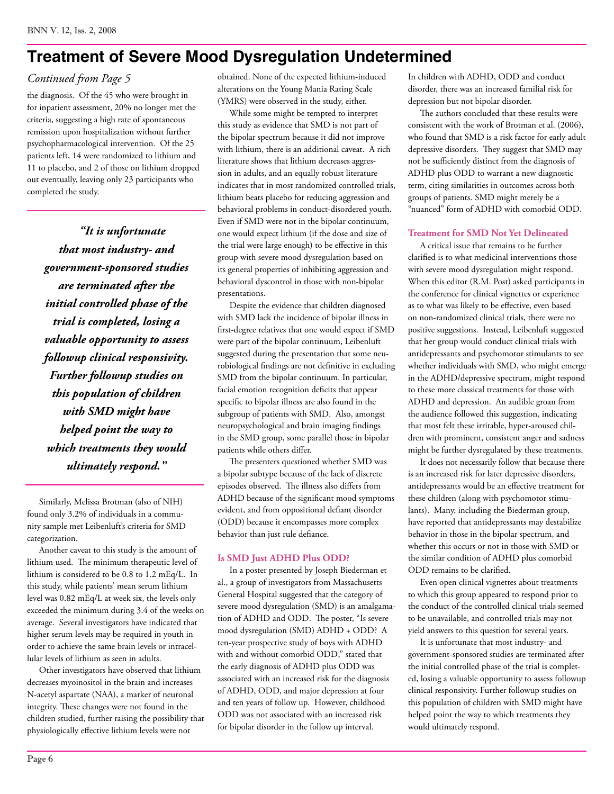## **Treatment of Severe Mood Dysregulation Undetermined**

#### *Continued from Page 5*

the diagnosis. Of the 45 who were brought in for inpatient assessment, 20% no longer met the criteria, suggesting a high rate of spontaneous remission upon hospitalization without further psychopharmacological intervention. Of the 25 patients left, 14 were randomized to lithium and 11 to placebo, and 2 of those on lithium dropped out eventually, leaving only 23 participants who completed the study.

*"It is unfortunate that most industry- and government-sponsored studies are terminated after the initial controlled phase of the trial is completed, losing a valuable opportunity to assess followup clinical responsivity. Further followup studies on this population of children with SMD might have helped point the way to which treatments they would ultimately respond."*

Similarly, Melissa Brotman (also of NIH) found only 3.2% of individuals in a community sample met Leibenluft's criteria for SMD categorization.

Another caveat to this study is the amount of lithium used. The minimum therapeutic level of lithium is considered to be 0.8 to 1.2 mEq/L. In this study, while patients' mean serum lithium level was 0.82 mEq/L at week six, the levels only exceeded the minimum during 3.4 of the weeks on average. Several investigators have indicated that higher serum levels may be required in youth in order to achieve the same brain levels or intracellular levels of lithium as seen in adults.

Other investigators have observed that lithium decreases myoinositol in the brain and increases N-acetyl aspartate (NAA), a marker of neuronal integrity. These changes were not found in the children studied, further raising the possibility that physiologically effective lithium levels were not

obtained. None of the expected lithium-induced alterations on the Young Mania Rating Scale (YMRS) were observed in the study, either.

While some might be tempted to interpret this study as evidence that SMD is not part of the bipolar spectrum because it did not improve with lithium, there is an additional caveat. A rich literature shows that lithium decreases aggression in adults, and an equally robust literature indicates that in most randomized controlled trials, lithium beats placebo for reducing aggression and behavioral problems in conduct-disordered youth. Even if SMD were not in the bipolar continuum, one would expect lithium (if the dose and size of the trial were large enough) to be effective in this group with severe mood dysregulation based on its general properties of inhibiting aggression and behavioral dyscontrol in those with non-bipolar presentations.

Despite the evidence that children diagnosed with SMD lack the incidence of bipolar illness in first-degree relatives that one would expect if SMD were part of the bipolar continuum, Leibenluft suggested during the presentation that some neurobiological findings are not definitive in excluding SMD from the bipolar continuum. In particular, facial emotion recognition deficits that appear specific to bipolar illness are also found in the subgroup of patients with SMD. Also, amongst neuropsychological and brain imaging findings in the SMD group, some parallel those in bipolar patients while others differ.

The presenters questioned whether SMD was a bipolar subtype because of the lack of discrete episodes observed. The illness also differs from ADHD because of the significant mood symptoms evident, and from oppositional defiant disorder (ODD) because it encompasses more complex behavior than just rule defiance.

#### **Is SMD Just ADHD Plus ODD?**

In a poster presented by Joseph Biederman et al., a group of investigators from Massachusetts General Hospital suggested that the category of severe mood dysregulation (SMD) is an amalgamation of ADHD and ODD. The poster, "Is severe mood dysregulation (SMD) ADHD + ODD? A ten-year prospective study of boys with ADHD with and without comorbid ODD," stated that the early diagnosis of ADHD plus ODD was associated with an increased risk for the diagnosis of ADHD, ODD, and major depression at four and ten years of follow up. However, childhood ODD was not associated with an increased risk for bipolar disorder in the follow up interval.

In children with ADHD, ODD and conduct disorder, there was an increased familial risk for depression but not bipolar disorder.

The authors concluded that these results were consistent with the work of Brotman et al. (2006), who found that SMD is a risk factor for early adult depressive disorders. They suggest that SMD may not be sufficiently distinct from the diagnosis of ADHD plus ODD to warrant a new diagnostic term, citing similarities in outcomes across both groups of patients. SMD might merely be a "nuanced" form of ADHD with comorbid ODD.

#### **Treatment for SMD Not Yet Delineated**

A critical issue that remains to be further clarified is to what medicinal interventions those with severe mood dysregulation might respond. When this editor (R.M. Post) asked participants in the conference for clinical vignettes or experience as to what was likely to be effective, even based on non-randomized clinical trials, there were no positive suggestions. Instead, Leibenluft suggested that her group would conduct clinical trials with antidepressants and psychomotor stimulants to see whether individuals with SMD, who might emerge in the ADHD/depressive spectrum, might respond to these more classical treatments for those with ADHD and depression. An audible groan from the audience followed this suggestion, indicating that most felt these irritable, hyper-aroused children with prominent, consistent anger and sadness might be further dysregulated by these treatments.

It does not necessarily follow that because there is an increased risk for later depressive disorders, antidepressants would be an effective treatment for these children (along with psychomotor stimulants). Many, including the Biederman group, have reported that antidepressants may destabilize behavior in those in the bipolar spectrum, and whether this occurs or not in those with SMD or the similar condition of ADHD plus comorbid ODD remains to be clarified.

Even open clinical vignettes about treatments to which this group appeared to respond prior to the conduct of the controlled clinical trials seemed to be unavailable, and controlled trials may not yield answers to this question for several years.

It is unfortunate that most industry- and government-sponsored studies are terminated after the initial controlled phase of the trial is completed, losing a valuable opportunity to assess followup clinical responsivity. Further followup studies on this population of children with SMD might have helped point the way to which treatments they would ultimately respond.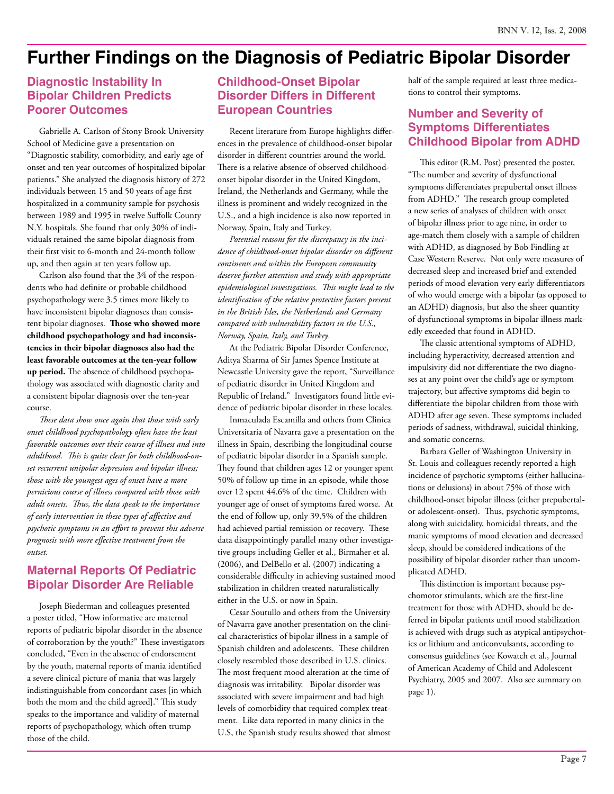## **Further Findings on the Diagnosis of Pediatric Bipolar Disorder**

#### **Diagnostic Instability In Bipolar Children Predicts Poorer Outcomes**

Gabrielle A. Carlson of Stony Brook University School of Medicine gave a presentation on "Diagnostic stability, comorbidity, and early age of onset and ten year outcomes of hospitalized bipolar patients." She analyzed the diagnosis history of 272 individuals between 15 and 50 years of age first hospitalized in a community sample for psychosis between 1989 and 1995 in twelve Suffolk County N.Y. hospitals. She found that only 30% of individuals retained the same bipolar diagnosis from their first visit to 6-month and 24-month follow up, and then again at ten years follow up.

Carlson also found that the 3⁄4 of the respondents who had definite or probable childhood psychopathology were 3.5 times more likely to have inconsistent bipolar diagnoses than consistent bipolar diagnoses. **Those who showed more childhood psychopathology and had inconsistencies in their bipolar diagnoses also had the least favorable outcomes at the ten-year follow up period.** The absence of childhood psychopathology was associated with diagnostic clarity and a consistent bipolar diagnosis over the ten-year course.

*These data show once again that those with early onset childhood psychopathology often have the least favorable outcomes over their course of illness and into adulthood. This is quite clear for both childhood-onset recurrent unipolar depression and bipolar illness; those with the youngest ages of onset have a more pernicious course of illness compared with those with adult onsets. Thus, the data speak to the importance of early intervention in these types of affective and psychotic symptoms in an effort to prevent this adverse prognosis with more effective treatment from the outset.*

#### **Maternal Reports Of Pediatric Bipolar Disorder Are Reliable**

Joseph Biederman and colleagues presented a poster titled, "How informative are maternal reports of pediatric bipolar disorder in the absence of corroboration by the youth?" These investigators concluded, "Even in the absence of endorsement by the youth, maternal reports of mania identified a severe clinical picture of mania that was largely indistinguishable from concordant cases [in which both the mom and the child agreed]." This study speaks to the importance and validity of maternal reports of psychopathology, which often trump those of the child.

#### **Childhood-Onset Bipolar Disorder Differs in Different European Countries**

Recent literature from Europe highlights differences in the prevalence of childhood-onset bipolar disorder in different countries around the world. There is a relative absence of observed childhoodonset bipolar disorder in the United Kingdom, Ireland, the Netherlands and Germany, while the illness is prominent and widely recognized in the U.S., and a high incidence is also now reported in Norway, Spain, Italy and Turkey.

*Potential reasons for the discrepancy in the incidence of childhood-onset bipolar disorder on different continents and within the European community deserve further attention and study with appropriate epidemiological investigations. This might lead to the identification of the relative protective factors present in the British Isles, the Netherlands and Germany compared with vulnerability factors in the U.S., Norway, Spain, Italy, and Turkey.*

At the Pediatric Bipolar Disorder Conference, Aditya Sharma of Sir James Spence Institute at Newcastle University gave the report, "Surveillance of pediatric disorder in United Kingdom and Republic of Ireland." Investigators found little evidence of pediatric bipolar disorder in these locales.

Inmaculada Escamilla and others from Clinica Universitaria of Navarra gave a presentation on the illness in Spain, describing the longitudinal course of pediatric bipolar disorder in a Spanish sample. They found that children ages 12 or younger spent 50% of follow up time in an episode, while those over 12 spent 44.6% of the time. Children with younger age of onset of symptoms fared worse. At the end of follow up, only 39.5% of the children had achieved partial remission or recovery. These data disappointingly parallel many other investigative groups including Geller et al., Birmaher et al. (2006), and DelBello et al. (2007) indicating a considerable difficulty in achieving sustained mood stabilization in children treated naturalistically either in the U.S. or now in Spain.

Cesar Soutullo and others from the University of Navarra gave another presentation on the clinical characteristics of bipolar illness in a sample of Spanish children and adolescents. These children closely resembled those described in U.S. clinics. The most frequent mood alteration at the time of diagnosis was irritability. Bipolar disorder was associated with severe impairment and had high levels of comorbidity that required complex treatment. Like data reported in many clinics in the U.S, the Spanish study results showed that almost half of the sample required at least three medications to control their symptoms.

#### **Number and Severity of Symptoms Differentiates Childhood Bipolar from ADHD**

This editor (R.M. Post) presented the poster, "The number and severity of dysfunctional symptoms differentiates prepubertal onset illness from ADHD." The research group completed a new series of analyses of children with onset of bipolar illness prior to age nine, in order to age-match them closely with a sample of children with ADHD, as diagnosed by Bob Findling at Case Western Reserve. Not only were measures of decreased sleep and increased brief and extended periods of mood elevation very early differentiators of who would emerge with a bipolar (as opposed to an ADHD) diagnosis, but also the sheer quantity of dysfunctional symptoms in bipolar illness markedly exceeded that found in ADHD.

The classic attentional symptoms of ADHD, including hyperactivity, decreased attention and impulsivity did not differentiate the two diagnoses at any point over the child's age or symptom trajectory, but affective symptoms did begin to differentiate the bipolar children from those with ADHD after age seven. These symptoms included periods of sadness, withdrawal, suicidal thinking, and somatic concerns.

Barbara Geller of Washington University in St. Louis and colleagues recently reported a high incidence of psychotic symptoms (either hallucinations or delusions) in about 75% of those with childhood-onset bipolar illness (either prepubertalor adolescent-onset). Thus, psychotic symptoms, along with suicidality, homicidal threats, and the manic symptoms of mood elevation and decreased sleep, should be considered indications of the possibility of bipolar disorder rather than uncomplicated ADHD.

This distinction is important because psychomotor stimulants, which are the first-line treatment for those with ADHD, should be deferred in bipolar patients until mood stabilization is achieved with drugs such as atypical antipsychotics or lithium and anticonvulsants, according to consensus guidelines (see Kowatch et al., Journal of American Academy of Child and Adolescent Psychiatry, 2005 and 2007. Also see summary on page 1).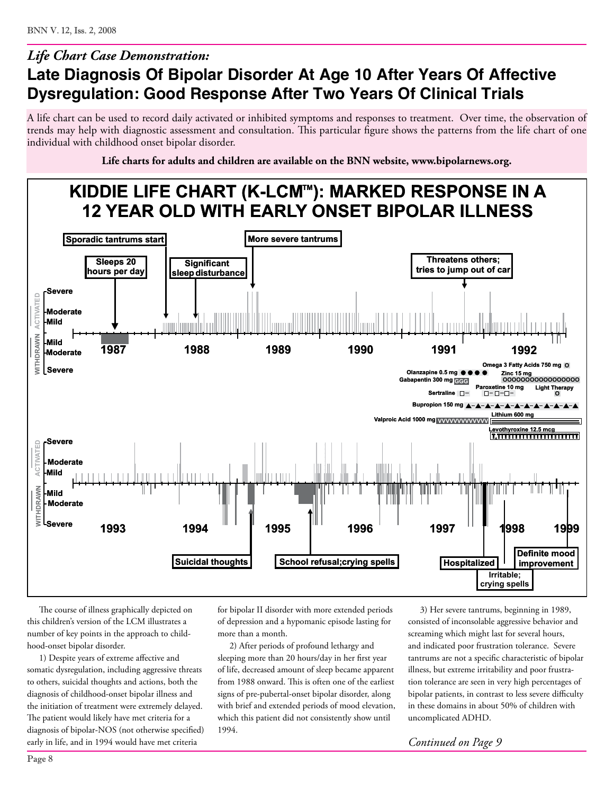## **Late Diagnosis Of Bipolar Disorder At Age 10 After Years Of Affective Dysregulation: Good Response After Two Years Of Clinical Trials** *Life Chart Case Demonstration:*

A life chart can be used to record daily activated or inhibited symptoms and responses to treatment. Over time, the observation of trends may help with diagnostic assessment and consultation. This particular figure shows the patterns from the life chart of one individual with childhood onset bipolar disorder.

**Life charts for adults and children are available on the BNN website, www.bipolarnews.org.**



The course of illness graphically depicted on this children's version of the LCM illustrates a number of key points in the approach to childhood-onset bipolar disorder.

1) Despite years of extreme affective and somatic dysregulation, including aggressive threats to others, suicidal thoughts and actions, both the diagnosis of childhood-onset bipolar illness and the initiation of treatment were extremely delayed. The patient would likely have met criteria for a diagnosis of bipolar-NOS (not otherwise specified) early in life, and in 1994 would have met criteria

for bipolar II disorder with more extended periods of depression and a hypomanic episode lasting for more than a month.

2) After periods of profound lethargy and sleeping more than 20 hours/day in her first year of life, decreased amount of sleep became apparent from 1988 onward. This is often one of the earliest signs of pre-pubertal-onset bipolar disorder, along with brief and extended periods of mood elevation, which this patient did not consistently show until 1994.

3) Her severe tantrums, beginning in 1989, consisted of inconsolable aggressive behavior and screaming which might last for several hours, and indicated poor frustration tolerance. Severe tantrums are not a specific characteristic of bipolar illness, but extreme irritability and poor frustration tolerance are seen in very high percentages of bipolar patients, in contrast to less severe difficulty in these domains in about 50% of children with uncomplicated ADHD.

*Continued on Page 9*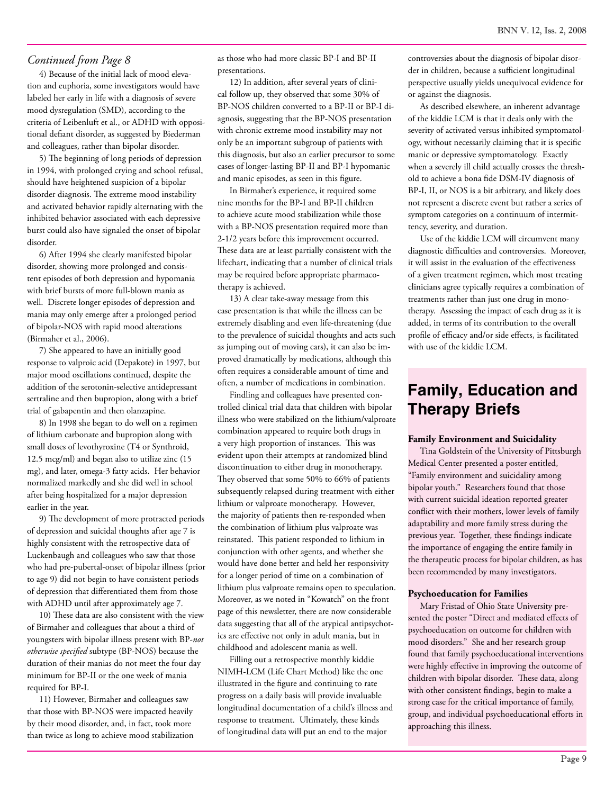#### *Continued from Page 8*

4) Because of the initial lack of mood elevation and euphoria, some investigators would have labeled her early in life with a diagnosis of severe mood dysregulation (SMD), according to the criteria of Leibenluft et al., or ADHD with oppositional defiant disorder, as suggested by Biederman and colleagues, rather than bipolar disorder.

5) The beginning of long periods of depression in 1994, with prolonged crying and school refusal, should have heightened suspicion of a bipolar disorder diagnosis. The extreme mood instability and activated behavior rapidly alternating with the inhibited behavior associated with each depressive burst could also have signaled the onset of bipolar disorder.

6) After 1994 she clearly manifested bipolar disorder, showing more prolonged and consistent episodes of both depression and hypomania with brief bursts of more full-blown mania as well. Discrete longer episodes of depression and mania may only emerge after a prolonged period of bipolar-NOS with rapid mood alterations (Birmaher et al., 2006).

7) She appeared to have an initially good response to valproic acid (Depakote) in 1997, but major mood oscillations continued, despite the addition of the serotonin-selective antidepressant sertraline and then bupropion, along with a brief trial of gabapentin and then olanzapine.

8) In 1998 she began to do well on a regimen of lithium carbonate and bupropion along with small doses of levothyroxine (T4 or Synthroid, 12.5 mcg/ml) and began also to utilize zinc (15 mg), and later, omega-3 fatty acids. Her behavior normalized markedly and she did well in school after being hospitalized for a major depression earlier in the year.

9) The development of more protracted periods of depression and suicidal thoughts after age 7 is highly consistent with the retrospective data of Luckenbaugh and colleagues who saw that those who had pre-pubertal-onset of bipolar illness (prior to age 9) did not begin to have consistent periods of depression that differentiated them from those with ADHD until after approximately age 7.

10) These data are also consistent with the view of Birmaher and colleagues that about a third of youngsters with bipolar illness present with BP-*not otherwise specified* subtype (BP-NOS) because the duration of their manias do not meet the four day minimum for BP-II or the one week of mania required for BP-I.

11) However, Birmaher and colleagues saw that those with BP-NOS were impacted heavily by their mood disorder, and, in fact, took more than twice as long to achieve mood stabilization as those who had more classic BP-I and BP-II presentations.

12) In addition, after several years of clinical follow up, they observed that some 30% of BP-NOS children converted to a BP-II or BP-I diagnosis, suggesting that the BP-NOS presentation with chronic extreme mood instability may not only be an important subgroup of patients with this diagnosis, but also an earlier precursor to some cases of longer-lasting BP-II and BP-I hypomanic and manic episodes, as seen in this figure.

In Birmaher's experience, it required some nine months for the BP-I and BP-II children to achieve acute mood stabilization while those with a BP-NOS presentation required more than 2-1/2 years before this improvement occurred. These data are at least partially consistent with the lifechart, indicating that a number of clinical trials may be required before appropriate pharmacotherapy is achieved.

13) A clear take-away message from this case presentation is that while the illness can be extremely disabling and even life-threatening (due to the prevalence of suicidal thoughts and acts such as jumping out of moving cars), it can also be improved dramatically by medications, although this often requires a considerable amount of time and often, a number of medications in combination.

Findling and colleagues have presented controlled clinical trial data that children with bipolar illness who were stabilized on the lithium/valproate combination appeared to require both drugs in a very high proportion of instances. This was evident upon their attempts at randomized blind discontinuation to either drug in monotherapy. They observed that some 50% to 66% of patients subsequently relapsed during treatment with either lithium or valproate monotherapy. However, the majority of patients then re-responded when the combination of lithium plus valproate was reinstated. This patient responded to lithium in conjunction with other agents, and whether she would have done better and held her responsivity for a longer period of time on a combination of lithium plus valproate remains open to speculation. Moreover, as we noted in "Kowatch" on the front page of this newsletter, there are now considerable data suggesting that all of the atypical antipsychotics are effective not only in adult mania, but in childhood and adolescent mania as well.

Filling out a retrospective monthly kiddie NIMH-LCM (Life Chart Method) like the one illustrated in the figure and continuing to rate progress on a daily basis will provide invaluable longitudinal documentation of a child's illness and response to treatment. Ultimately, these kinds of longitudinal data will put an end to the major

controversies about the diagnosis of bipolar disorder in children, because a sufficient longitudinal perspective usually yields unequivocal evidence for or against the diagnosis.

As described elsewhere, an inherent advantage of the kiddie LCM is that it deals only with the severity of activated versus inhibited symptomatology, without necessarily claiming that it is specific manic or depressive symptomatology. Exactly when a severely ill child actually crosses the threshold to achieve a bona fide DSM-IV diagnosis of BP-I, II, or NOS is a bit arbitrary, and likely does not represent a discrete event but rather a series of symptom categories on a continuum of intermittency, severity, and duration.

Use of the kiddie LCM will circumvent many diagnostic difficulties and controversies. Moreover, it will assist in the evaluation of the effectiveness of a given treatment regimen, which most treating clinicians agree typically requires a combination of treatments rather than just one drug in monotherapy. Assessing the impact of each drug as it is added, in terms of its contribution to the overall profile of efficacy and/or side effects, is facilitated with use of the kiddie LCM.

## **Family, Education and Therapy Briefs**

#### **Family Environment and Suicidality**

Tina Goldstein of the University of Pittsburgh Medical Center presented a poster entitled, "Family environment and suicidality among bipolar youth." Researchers found that those with current suicidal ideation reported greater conflict with their mothers, lower levels of family adaptability and more family stress during the previous year. Together, these findings indicate the importance of engaging the entire family in the therapeutic process for bipolar children, as has been recommended by many investigators.

#### **Psychoeducation for Families**

Mary Fristad of Ohio State University presented the poster "Direct and mediated effects of psychoeducation on outcome for children with mood disorders." She and her research group found that family psychoeducational interventions were highly effective in improving the outcome of children with bipolar disorder. These data, along with other consistent findings, begin to make a strong case for the critical importance of family, group, and individual psychoeducational efforts in approaching this illness.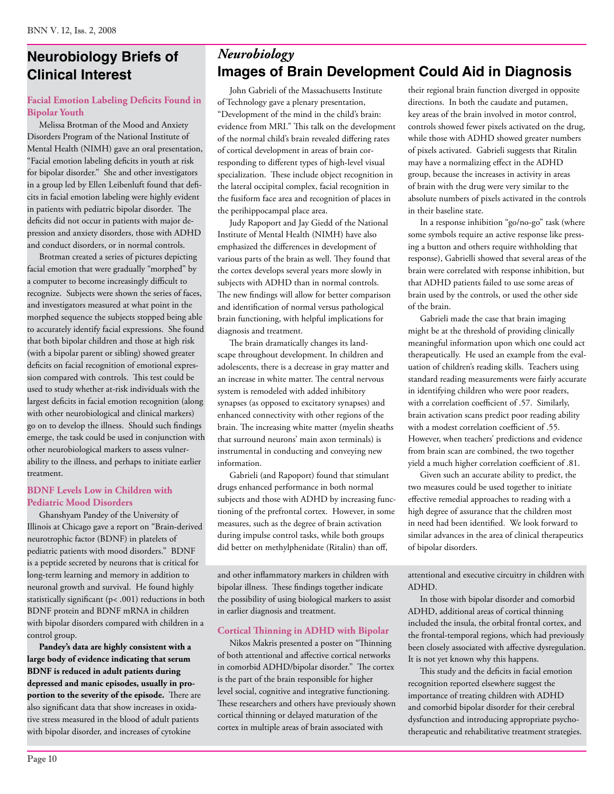## **Neurobiology Briefs of** *Neurobiology* **Clinical Interest**

#### **Facial Emotion Labeling Deficits Found in Bipolar Youth**

Melissa Brotman of the Mood and Anxiety Disorders Program of the National Institute of Mental Health (NIMH) gave an oral presentation, "Facial emotion labeling deficits in youth at risk for bipolar disorder." She and other investigators in a group led by Ellen Leibenluft found that deficits in facial emotion labeling were highly evident in patients with pediatric bipolar disorder. The deficits did not occur in patients with major depression and anxiety disorders, those with ADHD and conduct disorders, or in normal controls.

Brotman created a series of pictures depicting facial emotion that were gradually "morphed" by a computer to become increasingly difficult to recognize. Subjects were shown the series of faces, and investigators measured at what point in the morphed sequence the subjects stopped being able to accurately identify facial expressions. She found that both bipolar children and those at high risk (with a bipolar parent or sibling) showed greater deficits on facial recognition of emotional expression compared with controls. This test could be used to study whether at-risk individuals with the largest deficits in facial emotion recognition (along with other neurobiological and clinical markers) go on to develop the illness. Should such findings emerge, the task could be used in conjunction with other neurobiological markers to assess vulnerability to the illness, and perhaps to initiate earlier treatment.

#### **BDNF Levels Low in Children with Pediatric Mood Disorders**

Ghanshyam Pandey of the University of Illinois at Chicago gave a report on "Brain-derived neurotrophic factor (BDNF) in platelets of pediatric patients with mood disorders." BDNF is a peptide secreted by neurons that is critical for long-term learning and memory in addition to neuronal growth and survival. He found highly statistically significant (p< .001) reductions in both BDNF protein and BDNF mRNA in children with bipolar disorders compared with children in a control group.

**Pandey's data are highly consistent with a large body of evidence indicating that serum BDNF is reduced in adult patients during depressed and manic episodes, usually in proportion to the severity of the episode.** There are also significant data that show increases in oxidative stress measured in the blood of adult patients with bipolar disorder, and increases of cytokine

## **Images of Brain Development Could Aid in Diagnosis**

John Gabrieli of the Massachusetts Institute of Technology gave a plenary presentation, "Development of the mind in the child's brain: evidence from MRI." This talk on the development of the normal child's brain revealed differing rates of cortical development in areas of brain corresponding to different types of high-level visual specialization. These include object recognition in the lateral occipital complex, facial recognition in the fusiform face area and recognition of places in the perihippocampal place area.

Judy Rapoport and Jay Giedd of the National Institute of Mental Health (NIMH) have also emphasized the differences in development of various parts of the brain as well. They found that the cortex develops several years more slowly in subjects with ADHD than in normal controls. The new findings will allow for better comparison and identification of normal versus pathological brain functioning, with helpful implications for diagnosis and treatment.

The brain dramatically changes its landscape throughout development. In children and adolescents, there is a decrease in gray matter and an increase in white matter. The central nervous system is remodeled with added inhibitory synapses (as opposed to excitatory synapses) and enhanced connectivity with other regions of the brain. The increasing white matter (myelin sheaths that surround neurons' main axon terminals) is instrumental in conducting and conveying new information.

Gabrieli (and Rapoport) found that stimulant drugs enhanced performance in both normal subjects and those with ADHD by increasing functioning of the prefrontal cortex. However, in some measures, such as the degree of brain activation during impulse control tasks, while both groups did better on methylphenidate (Ritalin) than off,

and other inflammatory markers in children with bipolar illness. These findings together indicate the possibility of using biological markers to assist in earlier diagnosis and treatment.

#### **Cortical Thinning in ADHD with Bipolar**

Nikos Makris presented a poster on "Thinning of both attentional and affective cortical networks in comorbid ADHD/bipolar disorder." The cortex is the part of the brain responsible for higher level social, cognitive and integrative functioning. These researchers and others have previously shown cortical thinning or delayed maturation of the cortex in multiple areas of brain associated with

their regional brain function diverged in opposite directions. In both the caudate and putamen, key areas of the brain involved in motor control, controls showed fewer pixels activated on the drug, while those with ADHD showed greater numbers of pixels activated. Gabrieli suggests that Ritalin may have a normalizing effect in the ADHD group, because the increases in activity in areas of brain with the drug were very similar to the absolute numbers of pixels activated in the controls in their baseline state.

In a response inhibition "go/no-go" task (where some symbols require an active response like pressing a button and others require withholding that response), Gabrielli showed that several areas of the brain were correlated with response inhibition, but that ADHD patients failed to use some areas of brain used by the controls, or used the other side of the brain.

Gabrieli made the case that brain imaging might be at the threshold of providing clinically meaningful information upon which one could act therapeutically. He used an example from the evaluation of children's reading skills. Teachers using standard reading measurements were fairly accurate in identifying children who were poor readers, with a correlation coefficient of .57. Similarly, brain activation scans predict poor reading ability with a modest correlation coefficient of .55. However, when teachers' predictions and evidence from brain scan are combined, the two together yield a much higher correlation coefficient of .81.

Given such an accurate ability to predict, the two measures could be used together to initiate effective remedial approaches to reading with a high degree of assurance that the children most in need had been identified. We look forward to similar advances in the area of clinical therapeutics of bipolar disorders.

attentional and executive circuitry in children with ADHD.

In those with bipolar disorder and comorbid ADHD, additional areas of cortical thinning included the insula, the orbital frontal cortex, and the frontal-temporal regions, which had previously been closely associated with affective dysregulation. It is not yet known why this happens.

This study and the deficits in facial emotion recognition reported elsewhere suggest the importance of treating children with ADHD and comorbid bipolar disorder for their cerebral dysfunction and introducing appropriate psychotherapeutic and rehabilitative treatment strategies.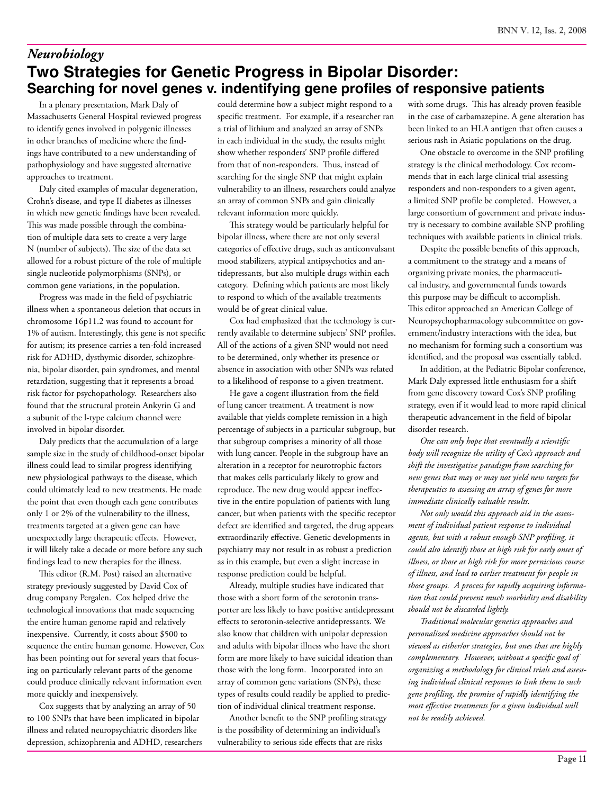## **Two Strategies for Genetic Progress in Bipolar Disorder: Searching for novel genes v. indentifying gene profiles of responsive patients**  *Neurobiology*

In a plenary presentation, Mark Daly of Massachusetts General Hospital reviewed progress to identify genes involved in polygenic illnesses in other branches of medicine where the findings have contributed to a new understanding of pathophysiology and have suggested alternative approaches to treatment.

Daly cited examples of macular degeneration, Crohn's disease, and type II diabetes as illnesses in which new genetic findings have been revealed. This was made possible through the combination of multiple data sets to create a very large N (number of subjects). The size of the data set allowed for a robust picture of the role of multiple single nucleotide polymorphisms (SNPs), or common gene variations, in the population.

Progress was made in the field of psychiatric illness when a spontaneous deletion that occurs in chromosome 16p11.2 was found to account for 1% of autism. Interestingly, this gene is not specific for autism; its presence carries a ten-fold increased risk for ADHD, dysthymic disorder, schizophrenia, bipolar disorder, pain syndromes, and mental retardation, suggesting that it represents a broad risk factor for psychopathology. Researchers also found that the structural protein Ankyrin G and a subunit of the l-type calcium channel were involved in bipolar disorder.

Daly predicts that the accumulation of a large sample size in the study of childhood-onset bipolar illness could lead to similar progress identifying new physiological pathways to the disease, which could ultimately lead to new treatments. He made the point that even though each gene contributes only 1 or 2% of the vulnerability to the illness, treatments targeted at a given gene can have unexpectedly large therapeutic effects. However, it will likely take a decade or more before any such findings lead to new therapies for the illness.

This editor (R.M. Post) raised an alternative strategy previously suggested by David Cox of drug company Pergalen. Cox helped drive the technological innovations that made sequencing the entire human genome rapid and relatively inexpensive. Currently, it costs about \$500 to sequence the entire human genome. However, Cox has been pointing out for several years that focusing on particularly relevant parts of the genome could produce clinically relevant information even more quickly and inexpensively.

Cox suggests that by analyzing an array of 50 to 100 SNPs that have been implicated in bipolar illness and related neuropsychiatric disorders like depression, schizophrenia and ADHD, researchers could determine how a subject might respond to a specific treatment. For example, if a researcher ran a trial of lithium and analyzed an array of SNPs in each individual in the study, the results might show whether responders' SNP profile differed from that of non-responders. Thus, instead of searching for the single SNP that might explain vulnerability to an illness, researchers could analyze an array of common SNPs and gain clinically relevant information more quickly.

This strategy would be particularly helpful for bipolar illness, where there are not only several categories of effective drugs, such as anticonvulsant mood stabilizers, atypical antipsychotics and antidepressants, but also multiple drugs within each category. Defining which patients are most likely to respond to which of the available treatments would be of great clinical value.

Cox had emphasized that the technology is currently available to determine subjects' SNP profiles. All of the actions of a given SNP would not need to be determined, only whether its presence or absence in association with other SNPs was related to a likelihood of response to a given treatment.

He gave a cogent illustration from the field of lung cancer treatment. A treatment is now available that yields complete remission in a high percentage of subjects in a particular subgroup, but that subgroup comprises a minority of all those with lung cancer. People in the subgroup have an alteration in a receptor for neurotrophic factors that makes cells particularly likely to grow and reproduce. The new drug would appear ineffective in the entire population of patients with lung cancer, but when patients with the specific receptor defect are identified and targeted, the drug appears extraordinarily effective. Genetic developments in psychiatry may not result in as robust a prediction as in this example, but even a slight increase in response prediction could be helpful.

Already, multiple studies have indicated that those with a short form of the serotonin transporter are less likely to have positive antidepressant effects to serotonin-selective antidepressants. We also know that children with unipolar depression and adults with bipolar illness who have the short form are more likely to have suicidal ideation than those with the long form. Incorporated into an array of common gene variations (SNPs), these types of results could readily be applied to prediction of individual clinical treatment response.

Another benefit to the SNP profiling strategy is the possibility of determining an individual's vulnerability to serious side effects that are risks

with some drugs. This has already proven feasible in the case of carbamazepine. A gene alteration has been linked to an HLA antigen that often causes a serious rash in Asiatic populations on the drug.

One obstacle to overcome in the SNP profiling strategy is the clinical methodology. Cox recommends that in each large clinical trial assessing responders and non-responders to a given agent, a limited SNP profile be completed. However, a large consortium of government and private industry is necessary to combine available SNP profiling techniques with available patients in clinical trials.

Despite the possible benefits of this approach, a commitment to the strategy and a means of organizing private monies, the pharmaceutical industry, and governmental funds towards this purpose may be difficult to accomplish. This editor approached an American College of Neuropsychopharmacology subcommittee on government/industry interactions with the idea, but no mechanism for forming such a consortium was identified, and the proposal was essentially tabled.

In addition, at the Pediatric Bipolar conference, Mark Daly expressed little enthusiasm for a shift from gene discovery toward Cox's SNP profiling strategy, even if it would lead to more rapid clinical therapeutic advancement in the field of bipolar disorder research.

*One can only hope that eventually a scientific body will recognize the utility of Cox's approach and shift the investigative paradigm from searching for new genes that may or may not yield new targets for therapeutics to assessing an array of genes for more immediate clinically valuable results.*

*Not only would this approach aid in the assessment of individual patient response to individual agents, but with a robust enough SNP profiling, it could also identify those at high risk for early onset of illness, or those at high risk for more pernicious course of illness, and lead to earlier treatment for people in those groups. A process for rapidly acquiring information that could prevent much morbidity and disability should not be discarded lightly.*

*Traditional molecular genetics approaches and personalized medicine approaches should not be viewed as either/or strategies, but ones that are highly complementary. However, without a specific goal of organizing a methodology for clinical trials and assessing individual clinical responses to link them to such gene profiling, the promise of rapidly identifying the most effective treatments for a given individual will not be readily achieved.*